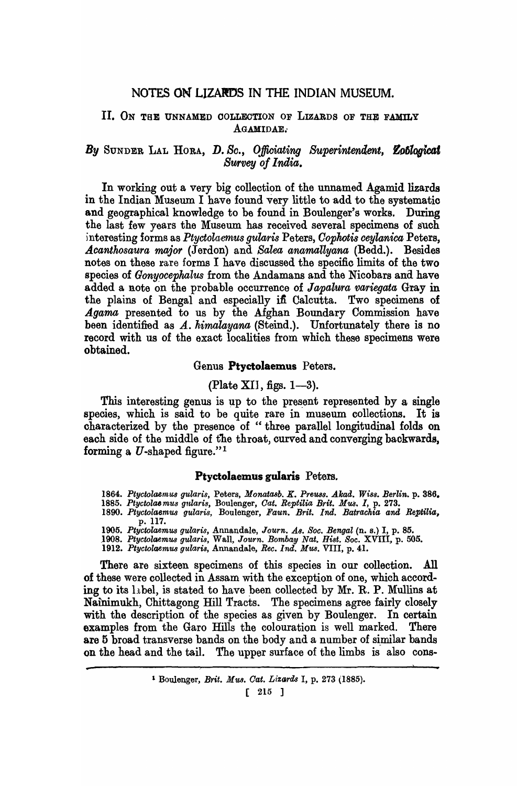## NOTES ON'LIZARDS IN THE INDIAN MUSEUM.

### II. ON THE UNNAMED COLLECTION OF LIZARDS OF THE FAMILY AGAMIDAE.

## *By* SUNDER LAL HORA, D. Sc., Officiating Superintendent, **Zoblogicat Survey of India.**

In working out a very big collection of the unnamed Agamid lizards in the Indian Museum I have found very little to add to the systematic and geographical knowledge to be found in Boulenger's works. During the last few years the Museum has received several specimens of such interesting forms as *Ptyctolaemus gularis* Peters, *Cophotis ceylanica* Peters, Acanthosaura major *(Jerdon)* and *Salea anamallyana (Bedd.)*. Besides notes on these rare forms I have discussed the specifio limits of the two species of *Gonypcepkalus* from the Andamans and the Nicobars and have added a Rote on the probable occurrence of *Japalwra variegata* Gray in the plains of Bengal and especially ifi Calcutta. Two specimens of *Agarna* presented to us by the Afghan Boundary Commission have been identified as *A. himalayana* (Steind.). Unfortunately there is no record with us of the exact localities from which these specimens were obtained.

#### Genus Ptyctolaemus Peters.

#### (Plate XII, figs.  $1-3$ ).

This interesting genus is up to the present represented by a single species, which is said to be quite rare in museum collections. It is characterized by the presence of "three parallel longitudinal folds on each side of the middle of the throat, curved and converging backwards, forming a  $U$ -shaped figure."<sup>1</sup>

### Ptyctolaemus gularis Peters.

*1864. Ptyetolaemus gularis,* Peters, *Monataab. K. Preuss. Akad. Wiss. Berlin.* p. 386.

- *1885. Ptyctolasmus gularis,* Boulenger, *Oat. Reptilia Brit. Mus. I,* p. 273. *1890. Ptyetolaemus gularis,* Boulenger, *Faun. Brit. Ind. Batrachia and Reptilia,*
- p. 117.
- *1905. Ptyetolaemus gularis,* Annandale, *Journ. As. Soe. Bengal* (n. s.) I, p. 85 *.1908. Ptyetolaemus gularis,* Wall, *Journ. Bombay Nat. Bi8t. Soc.* XVIII, p. 505.
- 
- *1912. Ptyctolaemus gularis,* Annandale, *Bee. Ind. Mus.* VIII, p. 41.

....

There are sixteen specimens of this species in our collection. All of these were collected in Assam with the exception of one, which according to its  $1<sub>i</sub>$  bel, is stated to have been collected by Mr. R. P. Mullins at Nainimukh, Chittagong Hill Tracts. The specimens agree fairly closely with the description of the species as given by Boulenger. In certain examples from the Garo Hills the colouration is well marked. There are 5 broad transverse bands on the body and a number of similar bands on the head and the tail. The upper surface of the limbs is also cons-

[ 215 ]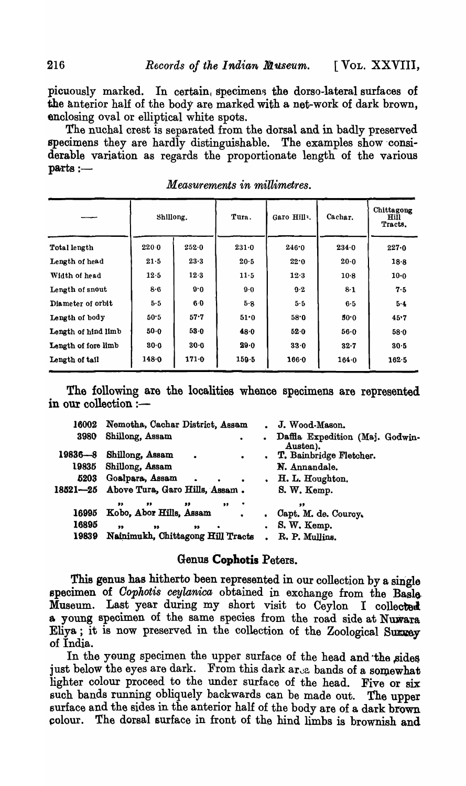picuously marked. In certain, specimens the dorso-lateral surfaces of the anterior half of the body are marked with a net-work of dark brown, enclosing oval or elliptical white spots.

The nuchal crest is separated from the dorsal and in badly preserved specimens they are hardly distinguishable. The examples show 'considerable variation as regards the proportionate length of the various  $parts : -$ 

| Shillong.           |          | Tura.     | Garo Hilly. | Cachar. | Chittagong<br><b>Hill</b><br>Tracts. |       |
|---------------------|----------|-----------|-------------|---------|--------------------------------------|-------|
| Total length        | 220.0    | 252.0     | $231 - 0$   | 246.0   | 234.0                                | 227.0 |
| Length of head      | 21.5     | 23.3      | 20.5        | 22.0    | 20.0                                 | 18.8  |
| Width of head       | 12.5     | 12.3      | 11.5        | 12.3    | $10-8$                               | 10.0  |
| Length of snout     | 8.6      | 9.0       | 9.0         | $9-2$   | $8-1$                                | 7.5   |
| Diameter of orbit   | 5.5      | 6·0       | 5.8         | 5.5     | 6.5                                  | 5.4   |
| Length of body      | 50.5     | 57.7      | 51.0        | 58.0    | 30.0                                 | 45.7  |
| Length of hind limb | $50 - 0$ | 53.0      | 48.0        | 52.0    | 56.0                                 | 58.0  |
| Length of fore limb | 80.0     | 30.0      | 29.0        | 33.0    | 32.7                                 | 30.5  |
| Length of tail      | 148.0    | $171 - 0$ | $159 - 5$   | 166.0   | $164 - 0$                            | 162.5 |

*Measurements in millimetres.* 

The following are the localities whence specimens are represented in our collection :-

|         | 16002 Nemotha, Cachar District, Assam                                    |           | . J. Wood-Mason.                              |
|---------|--------------------------------------------------------------------------|-----------|-----------------------------------------------|
| 3980    | Shillong, Assam<br>$\bullet$ . The set of $\bullet$                      |           | . Daffla Expedition (Maj. Godwin-<br>Austen). |
| 19836—8 | Shillong, Assam<br>$\sim$ 100 $\pm$<br><b>Contract Contract Contract</b> |           | . T. Bainbridge Fletcher.                     |
| 19835   | Shillong, Assam                                                          |           | N. Annandale.                                 |
|         | 5203 Goalpara, Assam.<br>$\sim$ $\sim$<br>$\bullet$                      |           | . H. L. Houghton.                             |
|         | 18521-25 Above Tura, Garo Hills, Assam.                                  |           | S. W. Kemp.                                   |
|         | "<br>$\bullet$<br>$\rightarrow$<br>,,                                    |           | ,,,                                           |
| 16995   | Kobo, Abor Hills, Assam<br>$\bullet$                                     | $\bullet$ | Capt. M. de. Courcy.                          |
| 16895   | "<br>$\bullet\bullet$<br>$^{\bullet}$<br>$\bullet$                       |           | $.S. W.$ Kemp.                                |
| 19839   | Nainimukh, Chittagong Hill Tracts.                                       |           | R. P. Mullins.                                |

## Genus **Cophotis** Peters.

This genus has hitherto been represented in our collection by a single specimen of *Cophotis ceylanica* obtained in exchange from the Basle Museum. Last year during my short visit to Ceylon I collected a young specimen of the same species from the road side at Nuwara Eliya; it is now preserved in the collection of the Zoological Survey of India.

In the young specimen the upper surface of the head and the sides just below the eyes are dark. From this dark  $ar_{\text{ce}}$  bands of a somewhat lighter colour proceed to the under surface of the head. Five or six such bands running obliquely backwards can be made out. The upper surface and the sides in the anterior half of the body are of a dark brown colour. The dorsal surface in front of the hind limbs is brownish and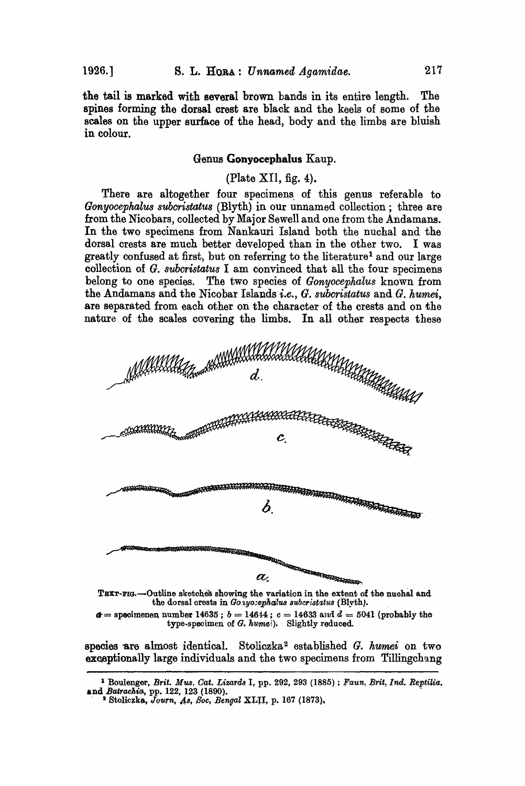the tail is marked with several brown bands in its entire length. The spines forming the dorsal crest are black and the keels of some of the scales on the upper surface of the head, body and the limbs are bluish in colour.

## Genus Gonyocephalus Kaup.

## (Plate XII, fig. 4).

There are altogether four specimens of this genus referable to Gonyocephalus subcristatus (Blyth) in our unnamed collection; three are from the Nicobars, collected by Major Sewell and one from the Andamans. In the two specimens from Nankauri Island both the nuchal and the dorsal crests are much better developed than in the other two. I was greatly confused at first, but on referring to the literature<sup>1</sup> and our large collection of G. subcristatus I am convinced that all the four specimens belong to one species. The two species of Gonyocephalus known from the Andamans and the Nicobar Islands *i.e.*, G. subcristatus and G. humei, are separated from each other on the character of the crests and on the nature of the scales covering the limbs. In all other respects these



TEXT-FIG.-Outline sketches showing the variation in the extent of the nuchal and the dorsal crests in Gonyosephalus subcristatus (Blyth).

 $d =$  specimenen number 14635;  $b = 14644$ ;  $c = 14633$  and  $d = 5041$  (probably the type-specimen of G. humei). Slightly reduced.

species are almost identical. Stoliczka<sup>2</sup> established G. humei on two exceptionally large individuals and the two specimens from Tillingchang

<sup>&</sup>lt;sup>1</sup> Boulenger, Brit. Mus. Cat. Lizards I, pp. 292, 293 (1885); Faun. Brit. Ind. Reptilia.<br>and Batrachia, pp. 122, 123 (1890).

<sup>&</sup>lt;sup>2</sup> Stoliczka, Journ, As, Soc, Bengal XLII, p. 167 (1873),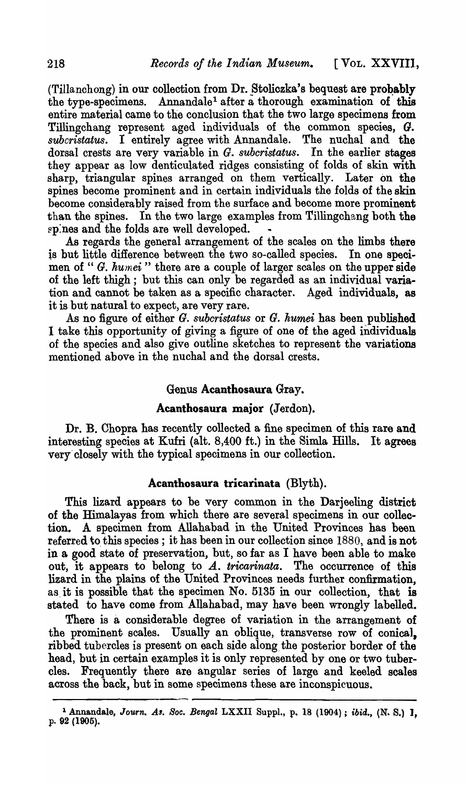$(Tillanchong)$  in our collection from Dr. Stoliczka's bequest are probably the type-specimens. Annandale<sup>1</sup> after a thorough examination of this entire material came to the conclusion that the two large specimens from Tillingchang represent aged individuals of the common species,  $G$ . *subcristatus.* I entirely agree with Annandale. The nuchal and the dorsal crests are very variable in G. *subcristatus.* In the earlier stages they appear as low denticulated ridges consisting of folds of skin with sharp, triangular spines arranged on them vertically. Later on the spines become prominent and in certain individuals the folds of the skin become considerably raised from the surface and become more prominent than the spines. In the two large examples from Tillingchang both the ep:nes and the folds are well developed.

As regards the general arrangement of the scales on the limbs there ls but little difference between the two so-called species. In one specimen of " G. humei" there are a couple of larger scales on the upper side of the left thigh; but this can only be regarded as an individual variation and cannot be taken as a specific character. Aged individuals, as it is but natural to expect, are very rare.

As no figure of either G. *subcristatus* or G. *humei* has been published I take this opportunity of giving a figure of one of the aged individuals of the species and also give outline sketches to represent the variations mentioned above in the nuchal and the dorsal crests.

# Genus Acanthosauta Gray.

# Acanthosaura major (Jerdon).

Dr. B. Chopra has recently collected a fine specimen of this rare and interesting species at Kufri (alt. 8,400 ft.) in the Simla Hills. It agrees very closely with the typical specimens in our collection.

# Acanthosaura tricarinata (Blyth).

This lizard appears to be very common in the Darjeeling district of the Himalayas from which there are several specimens in our collection. A specimen from Allahabad in the United Provinces has been referred to this species; it has been in our collection since 1880, and is not in a good state of preservation, but, so far as I have been able to make out, it appears to belong to A. *tricarinata*. The occurrence of this lizard in the plains of the United Provinces needs further confirmation, as it is possible that the specimen No. 5135 in our collection, that is stated to have come from Allahabad, may have been wrongly labelled.

There is a considerable degree of variation in the arrangement of the prominent scales. Usually an oblique, transverse row of conica1, ribbed tubercles is present on each side along, the posterior border of the head, but in certain examples it is only represented by one or two tubercles. Frequently there are angular series of large and keeled scales across the back, but in some specimens these are inconspicuous.

<sup>&</sup>lt;sup>1</sup> Annandale, *Journ. As. Soc. Bengal LXXII Suppl., p. 18 (1904)*; *ibid.*, (N. S.) 1, p. 92 (1905).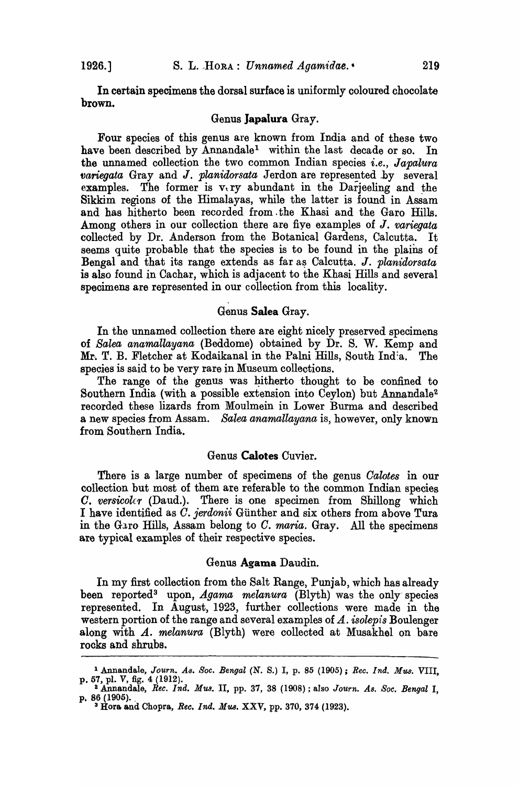In certain specimens the dorsal surface is uniformly coloured chocolate brown.

#### Genus Japalura Gray.

Four species of this genus are known from India and of these two have been described by Annandale<sup>1</sup> within the last decade or so. In the unnamed collection the two common Indian species *i.e.*, *Japalura variegata* Gray and *J. planidorsata* Jerdon are represented by several examples. The former is  $v, ry$  abundant in the Darjeeling and the Sikkim regions of the Himalayas, while the latter is found in Assam and has hitherto been recorded from .the Khasi and the Garo Hills. Among others in our collection there are fiye examples of J. *variegata*  collected by Dr. Anderson from the Botanical Gardens, Calcutta. It seems quite probable that the species is to be found in the plains of Bengal and that its range extends as far a~ Calcutta. J. *planidorsata*  is also found in Cachar, which is adjacent to the Khasi Hills and several specimens are represented in our collection from this locality.

#### Genus Salea Gray.

In the unnamed collection there are eight nicely preserved specimens of *Salea anamallayana* (Beddome) obtained by Dr. S. W. Kemp and Mr,. T. B. Fletcher at Kodaikanal in the Palni Hills, South Ind:a. The species is said to be very rare in Museum collections.

The range of the genus was hitherto thought to be confined to Southern India (with a possible extension into Ceylon) but Annandale2 recorded these lizards from Moulmein in Lower Burma and described a new species from Assam. *Salea anamallayana* is, however, only known from Southern India.

### Genus Calotes Cuvier.

There is a large number of specimens of the genus *Oalotes* in our collection but most of them are referable to the common Indian species *O. verswoler* (Daud.). There is one specimen from Shillong which I have identified as *O. }erdonii* Giinther and six others from above Tura in the G<sub>3</sub>ro Hills, Assam belong to *C. maria.* Gray. All the specimens are typical examples of their respective species.

### Genus Agama Daudin.

In my first collection from the Salt Range, Punjab, which has already been reported<sup>3</sup> upon, *Agama melanura* (Blyth) was the only species represented. In August, 1923, further collections were made in the western portion of the range and several examples of *A.. isolepis* Boulenger along with A. *melanura (Blyth)* were collected at Musakhel on bare rocks and shrubs.

<sup>&</sup>lt;sup>1</sup> Annandale, *Journ. As. Soc. Bengal* (N. S.) I, p. 85 (1905); *Rec. Ind. Mus.* VIII, p. 57, pl. V, fig. 4 (1912).

<sup>2</sup>Annandale, *Ree. Ind. Mua.* II, pp. 37, 38 (1908) ; also *Journ. As. Soc. Bengal* I, p. 86 (1905).<br><sup>3</sup> Hora and Chopra, *Rec. Ind. Mus.* XXV, pp. 370, 374 (1923).